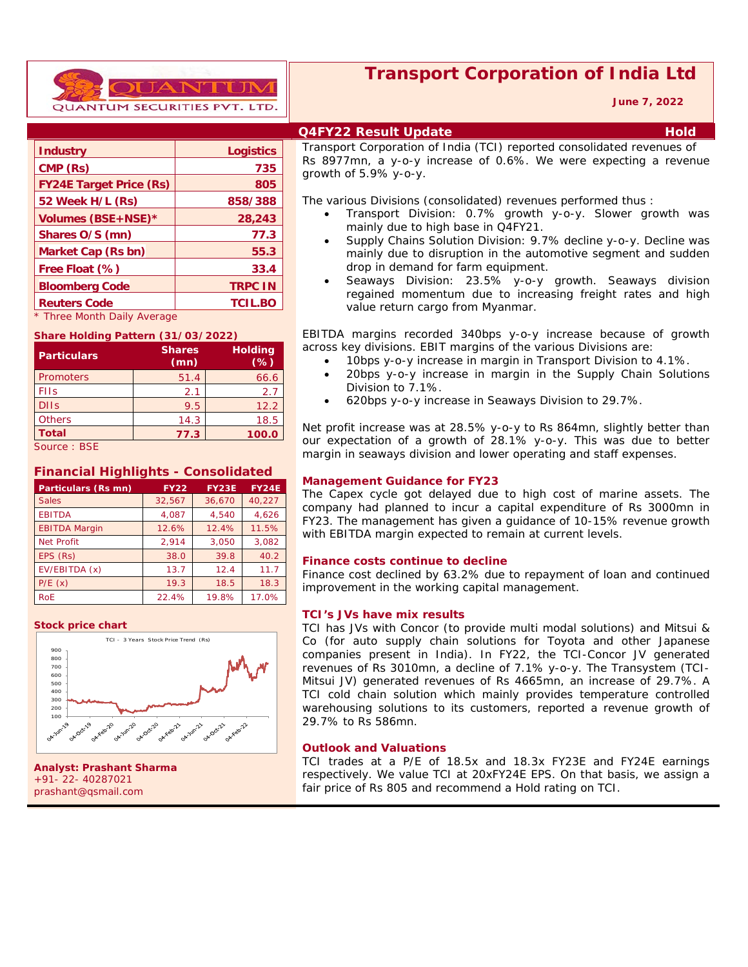

|  | <b>Transport Corporation of India Ltd</b> |  |  |
|--|-------------------------------------------|--|--|
|  |                                           |  |  |

 **June 7, 2022**

| <b>Industry</b>                | <b>Logistics</b> |
|--------------------------------|------------------|
| CMP (Rs)                       | 735              |
| <b>FY24E Target Price (Rs)</b> | 805              |
| 52 Week H/L (Rs)               | 858/388          |
| Volumes (BSE+NSE)*             | 28,243           |
| Shares O/S (mn)                | 77.3             |
| Market Cap (Rs bn)             | 55.3             |
| Free Float (%)                 | 33.4             |
| <b>Bloomberg Code</b>          | <b>TRPC IN</b>   |
| <b>Reuters Code</b>            | <b>TCIL.BO</b>   |
| * Three Month Daily Average    |                  |

#### **Share Holding Pattern (31/03/2022)**

| <b>Particulars</b> | <b>Shares</b><br>(mn) | <b>Holding</b><br>$(\%)$ |
|--------------------|-----------------------|--------------------------|
| <b>Promoters</b>   | 51.4                  | 66.6                     |
| <b>FIIs</b>        | 2.1                   | 2.7                      |
| <b>DIIs</b>        | 9.5                   | 12.2                     |
| <b>Others</b>      | 14.3                  | 18.5                     |
| <b>Total</b>       | 77.3                  | 100.0                    |
| Source: BSE        |                       |                          |

### **Financial Highlights - Consolidated**

| Particulars (Rs mn)  | <b>FY22</b> | <b>FY23E</b> | <b>FY24E</b> |
|----------------------|-------------|--------------|--------------|
| <b>Sales</b>         | 32,567      | 36,670       | 40,227       |
| <b>EBITDA</b>        | 4,087       | 4.540        | 4,626        |
| <b>EBITDA Margin</b> | 12.6%       | 12.4%        | 11.5%        |
| <b>Net Profit</b>    | 2.914       | 3.050        | 3,082        |
| EPS (Rs)             | 38.0        | 39.8         | 40.2         |
| EV/EBITDA (x)        | 13.7        | 12.4         | 11.7         |
| P/E(x)               | 19.3        | 18.5         | 18.3         |
| <b>RoE</b>           | 22.4%       | 19.8%        | 17.0%        |

#### **Stock price chart**



**Analyst: Prashant Sharma** +91- 22- 40287021 prashant@qsmail.com

### **Q4FY22 Result Update Hold**

Transport Corporation of India (TCI) reported consolidated revenues of Rs 8977mn, a y-o-y increase of 0.6%. We were expecting a revenue growth of 5.9% y-o-y.

The various Divisions (consolidated) revenues performed thus :

- Transport Division: 0.7% growth y-o-y. Slower growth was mainly due to high base in Q4FY21.
- Supply Chains Solution Division: 9.7% decline y-o-y. Decline was mainly due to disruption in the automotive segment and sudden drop in demand for farm equipment.
- Seaways Division: 23.5% y-o-y growth. Seaways division regained momentum due to increasing freight rates and high value return cargo from Myanmar.

EBITDA margins recorded 340bps y-o-y increase because of growth across key divisions. EBIT margins of the various Divisions are:

- 10bps y-o-y increase in margin in Transport Division to 4.1%.
- 20bps y-o-y increase in margin in the Supply Chain Solutions Division to 7.1%.
- 620bps y-o-y increase in Seaways Division to 29.7%.

Net profit increase was at 28.5% y-o-y to Rs 864mn, slightly better than our expectation of a growth of 28.1% y-o-y. This was due to better margin in seaways division and lower operating and staff expenses.

### **Management Guidance for FY23**

The Capex cycle got delayed due to high cost of marine assets. The company had planned to incur a capital expenditure of Rs 3000mn in FY23. The management has given a guidance of 10-15% revenue growth with EBITDA margin expected to remain at current levels.

### **Finance costs continue to decline**

Finance cost declined by 63.2% due to repayment of loan and continued improvement in the working capital management.

#### **TCI's JVs have mix results**

TCI has JVs with Concor (to provide multi modal solutions) and Mitsui & Co (for auto supply chain solutions for Toyota and other Japanese companies present in India). In FY22, the TCI-Concor JV generated revenues of Rs 3010mn, a decline of 7.1% y-o-y. The Transystem (TCI-Mitsui JV) generated revenues of Rs 4665mn, an increase of 29.7%. A TCI cold chain solution which mainly provides temperature controlled warehousing solutions to its customers, reported a revenue growth of 29.7% to Rs 586mn.

#### **Outlook and Valuations**

TCI trades at a P/E of 18.5x and 18.3x FY23E and FY24E earnings respectively. We value TCI at 20xFY24E EPS. On that basis, we assign a fair price of Rs 805 and recommend a Hold rating on TCI.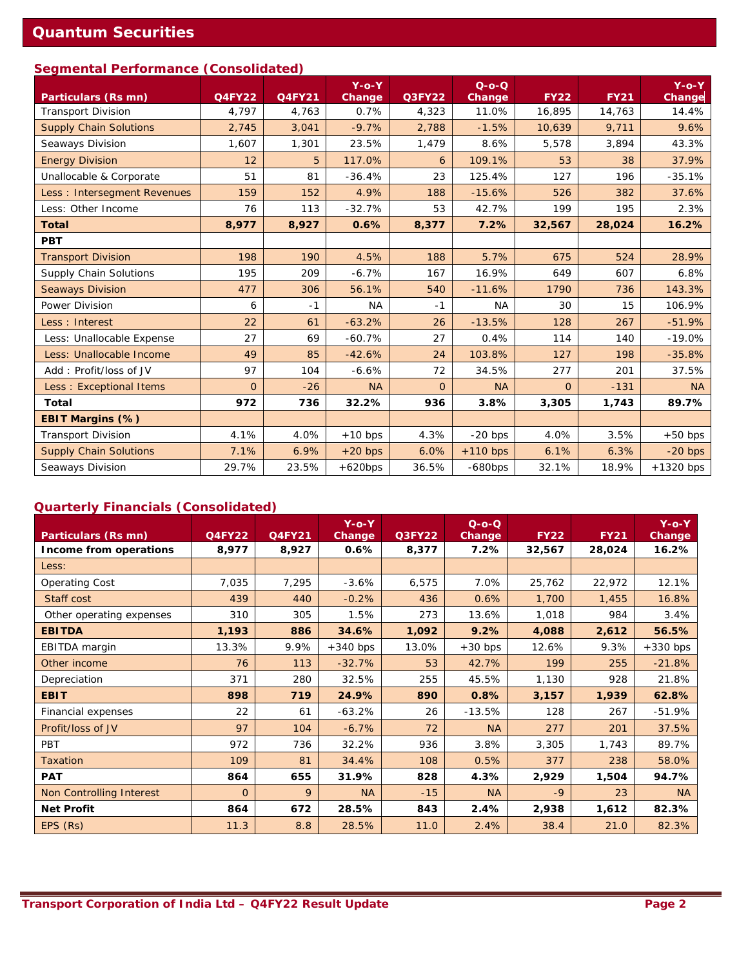## **Segmental Performance (Consolidated)**

| <b>Particulars (Rs mn)</b>    | <b>Q4FY22</b>  | <b>Q4FY21</b> | $Y$ -o- $Y$<br>Change | <b>Q3FY22</b>  | $Q-O-O$<br>Change | <b>FY22</b>    | <b>FY21</b> | $Y$ -o- $Y$<br>Change |
|-------------------------------|----------------|---------------|-----------------------|----------------|-------------------|----------------|-------------|-----------------------|
| <b>Transport Division</b>     | 4,797          | 4,763         | 0.7%                  | 4,323          | 11.0%             | 16,895         | 14,763      | 14.4%                 |
| <b>Supply Chain Solutions</b> | 2,745          | 3,041         | $-9.7%$               | 2,788          | $-1.5%$           | 10,639         | 9,711       | 9.6%                  |
| Seaways Division              | 1,607          | 1,301         | 23.5%                 | 1,479          | 8.6%              | 5,578          | 3,894       | 43.3%                 |
| <b>Energy Division</b>        | 12             | 5             | 117.0%                | 6              | 109.1%            | 53             | 38          | 37.9%                 |
| Unallocable & Corporate       | 51             | 81            | $-36.4%$              | 23             | 125.4%            | 127            | 196         | $-35.1%$              |
| Less : Intersegment Revenues  | 159            | 152           | 4.9%                  | 188            | $-15.6%$          | 526            | 382         | 37.6%                 |
| Less: Other Income            | 76             | 113           | $-32.7%$              | 53             | 42.7%             | 199            | 195         | 2.3%                  |
| <b>Total</b>                  | 8,977          | 8,927         | 0.6%                  | 8,377          | 7.2%              | 32,567         | 28,024      | 16.2%                 |
| <b>PBT</b>                    |                |               |                       |                |                   |                |             |                       |
| <b>Transport Division</b>     | 198            | 190           | 4.5%                  | 188            | 5.7%              | 675            | 524         | 28.9%                 |
| <b>Supply Chain Solutions</b> | 195            | 209           | $-6.7%$               | 167            | 16.9%             | 649            | 607         | 6.8%                  |
| <b>Seaways Division</b>       | 477            | 306           | 56.1%                 | 540            | $-11.6%$          | 1790           | 736         | 143.3%                |
| Power Division                | 6              | $-1$          | <b>NA</b>             | $-1$           | <b>NA</b>         | 30             | 15          | 106.9%                |
| Less: Interest                | 22             | 61            | $-63.2%$              | 26             | $-13.5%$          | 128            | 267         | $-51.9%$              |
| Less: Unallocable Expense     | 27             | 69            | $-60.7%$              | 27             | 0.4%              | 114            | 140         | $-19.0%$              |
| Less: Unallocable Income      | 49             | 85            | $-42.6%$              | 24             | 103.8%            | 127            | 198         | $-35.8%$              |
| Add: Profit/loss of JV        | 97             | 104           | $-6.6%$               | 72             | 34.5%             | 277            | 201         | 37.5%                 |
| Less: Exceptional Items       | $\overline{O}$ | $-26$         | <b>NA</b>             | $\overline{0}$ | <b>NA</b>         | $\overline{O}$ | $-131$      | <b>NA</b>             |
| <b>Total</b>                  | 972            | 736           | 32.2%                 | 936            | 3.8%              | 3,305          | 1,743       | 89.7%                 |
| EBIT Margins (%)              |                |               |                       |                |                   |                |             |                       |
| <b>Transport Division</b>     | 4.1%           | 4.0%          | $+10$ bps             | 4.3%           | $-20$ bps         | 4.0%           | 3.5%        | $+50$ bps             |
| <b>Supply Chain Solutions</b> | 7.1%           | 6.9%          | $+20$ bps             | 6.0%           | $+110$ bps        | 6.1%           | 6.3%        | $-20$ bps             |
| Seaways Division              | 29.7%          | 23.5%         | $+620bps$             | 36.5%          | $-680bps$         | 32.1%          | 18.9%       | $+1320$ bps           |

# **Quarterly Financials (Consolidated)**

| Particulars (Rs mn)      | <b>Q4FY22</b> | Q4FY21 | $Y$ -o-Y<br><b>Change</b> | <b>Q3FY22</b> | $Q$ - $Q$ - $Q$<br>Change | <b>FY22</b> | <b>FY21</b> | $Y$ -o- $Y$<br><b>Change</b> |
|--------------------------|---------------|--------|---------------------------|---------------|---------------------------|-------------|-------------|------------------------------|
| Income from operations   | 8,977         | 8,927  | 0.6%                      | 8,377         | 7.2%                      | 32,567      | 28,024      | 16.2%                        |
| Less:                    |               |        |                           |               |                           |             |             |                              |
| <b>Operating Cost</b>    | 7,035         | 7,295  | $-3.6%$                   | 6,575         | 7.0%                      | 25,762      | 22,972      | 12.1%                        |
| Staff cost               | 439           | 440    | $-0.2%$                   | 436           | 0.6%                      | 1,700       | 1,455       | 16.8%                        |
| Other operating expenses | 310           | 305    | 1.5%                      | 273           | 13.6%                     | 1,018       | 984         | 3.4%                         |
| <b>EBITDA</b>            | 1,193         | 886    | 34.6%                     | 1,092         | 9.2%                      | 4,088       | 2,612       | 56.5%                        |
| EBITDA margin            | 13.3%         | 9.9%   | $+340$ bps                | 13.0%         | $+30$ bps                 | 12.6%       | 9.3%        | $+330$ bps                   |
| Other income             | 76            | 113    | $-32.7%$                  | 53            | 42.7%                     | 199         | 255         | $-21.8%$                     |
| Depreciation             | 371           | 280    | 32.5%                     | 255           | 45.5%                     | 1,130       | 928         | 21.8%                        |
| <b>EBIT</b>              | 898           | 719    | 24.9%                     | 890           | 0.8%                      | 3,157       | 1,939       | 62.8%                        |
| Financial expenses       | 22            | 61     | $-63.2%$                  | 26            | $-13.5%$                  | 128         | 267         | $-51.9%$                     |
| Profit/loss of JV        | 97            | 104    | $-6.7%$                   | 72            | <b>NA</b>                 | 277         | 201         | 37.5%                        |
| PBT                      | 972           | 736    | 32.2%                     | 936           | 3.8%                      | 3,305       | 1,743       | 89.7%                        |
| <b>Taxation</b>          | 109           | 81     | 34.4%                     | 108           | 0.5%                      | 377         | 238         | 58.0%                        |
| <b>PAT</b>               | 864           | 655    | 31.9%                     | 828           | 4.3%                      | 2,929       | 1,504       | 94.7%                        |
| Non Controlling Interest | $\Omega$      | 9      | <b>NA</b>                 | $-15$         | <b>NA</b>                 | $-9$        | 23          | <b>NA</b>                    |
| <b>Net Profit</b>        | 864           | 672    | 28.5%                     | 843           | 2.4%                      | 2,938       | 1,612       | 82.3%                        |
| EPS (Rs)                 | 11.3          | 8.8    | 28.5%                     | 11.0          | 2.4%                      | 38.4        | 21.0        | 82.3%                        |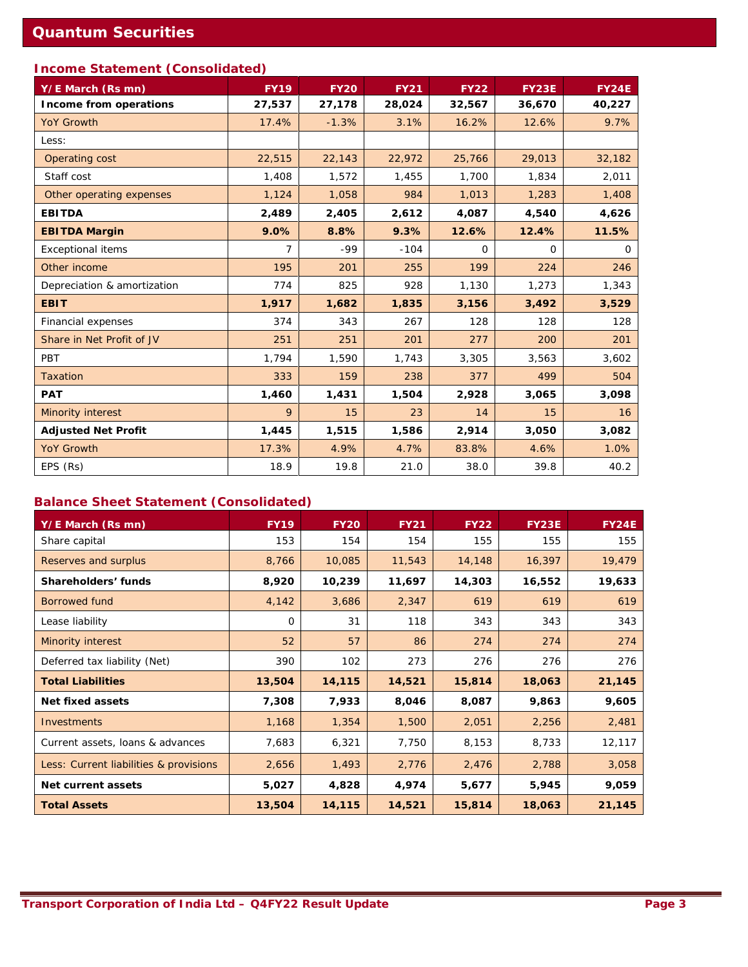# **Income Statement (Consolidated)**

| Y/E March (Rs mn)           | <b>FY19</b> | <b>FY20</b> | <b>FY21</b> | <b>FY22</b> | <b>FY23E</b> | <b>FY24E</b> |
|-----------------------------|-------------|-------------|-------------|-------------|--------------|--------------|
| Income from operations      | 27,537      | 27,178      | 28,024      | 32,567      | 36,670       | 40,227       |
| <b>YoY Growth</b>           | 17.4%       | $-1.3%$     | 3.1%        | 16.2%       | 12.6%        | 9.7%         |
| Less:                       |             |             |             |             |              |              |
| Operating cost              | 22,515      | 22,143      | 22,972      | 25,766      | 29,013       | 32,182       |
| Staff cost                  | 1,408       | 1,572       | 1,455       | 1,700       | 1,834        | 2,011        |
| Other operating expenses    | 1,124       | 1,058       | 984         | 1,013       | 1,283        | 1,408        |
| <b>EBITDA</b>               | 2,489       | 2,405       | 2,612       | 4,087       | 4,540        | 4,626        |
| <b>EBITDA Margin</b>        | 9.0%        | 8.8%        | 9.3%        | 12.6%       | 12.4%        | 11.5%        |
| <b>Exceptional items</b>    | 7           | $-99$       | $-104$      | $\Omega$    | 0            | 0            |
| Other income                | 195         | 201         | 255         | 199         | 224          | 246          |
| Depreciation & amortization | 774         | 825         | 928         | 1,130       | 1,273        | 1,343        |
| <b>EBIT</b>                 | 1,917       | 1,682       | 1,835       | 3,156       | 3,492        | 3,529        |
| Financial expenses          | 374         | 343         | 267         | 128         | 128          | 128          |
| Share in Net Profit of JV   | 251         | 251         | 201         | 277         | 200          | 201          |
| PBT                         | 1,794       | 1,590       | 1,743       | 3,305       | 3,563        | 3,602        |
| <b>Taxation</b>             | 333         | 159         | 238         | 377         | 499          | 504          |
| <b>PAT</b>                  | 1,460       | 1,431       | 1,504       | 2,928       | 3,065        | 3,098        |
| <b>Minority interest</b>    | 9           | 15          | 23          | 14          | 15           | 16           |
| <b>Adjusted Net Profit</b>  | 1,445       | 1,515       | 1,586       | 2,914       | 3,050        | 3,082        |
| <b>YoY Growth</b>           | 17.3%       | 4.9%        | 4.7%        | 83.8%       | 4.6%         | 1.0%         |
| EPS (Rs)                    | 18.9        | 19.8        | 21.0        | 38.0        | 39.8         | 40.2         |

# **Balance Sheet Statement (Consolidated)**

| Y/E March (Rs mn)                      | <b>FY19</b> | <b>FY20</b> | <b>FY21</b> | <b>FY22</b> | <b>FY23E</b> | <b>FY24E</b> |
|----------------------------------------|-------------|-------------|-------------|-------------|--------------|--------------|
| Share capital                          | 153         | 154         | 154         | 155         | 155          | 155          |
| Reserves and surplus                   | 8,766       | 10,085      | 11,543      | 14,148      | 16,397       | 19,479       |
| Shareholders' funds                    | 8,920       | 10,239      | 11,697      | 14,303      | 16,552       | 19,633       |
| <b>Borrowed fund</b>                   | 4,142       | 3,686       | 2,347       | 619         | 619          | 619          |
| Lease liability                        | 0           | 31          | 118         | 343         | 343          | 343          |
| Minority interest                      | 52          | 57          | 86          | 274         | 274          | 274          |
| Deferred tax liability (Net)           | 390         | 102         | 273         | 276         | 276          | 276          |
| <b>Total Liabilities</b>               | 13,504      | 14,115      | 14,521      | 15,814      | 18,063       | 21,145       |
| <b>Net fixed assets</b>                | 7,308       | 7,933       | 8,046       | 8,087       | 9,863        | 9,605        |
| <b>Investments</b>                     | 1,168       | 1,354       | 1,500       | 2,051       | 2,256        | 2,481        |
| Current assets, loans & advances       | 7,683       | 6,321       | 7,750       | 8,153       | 8,733        | 12,117       |
| Less: Current liabilities & provisions | 2,656       | 1,493       | 2,776       | 2,476       | 2,788        | 3,058        |
| Net current assets                     | 5,027       | 4,828       | 4,974       | 5,677       | 5,945        | 9,059        |
| <b>Total Assets</b>                    | 13,504      | 14,115      | 14,521      | 15,814      | 18,063       | 21,145       |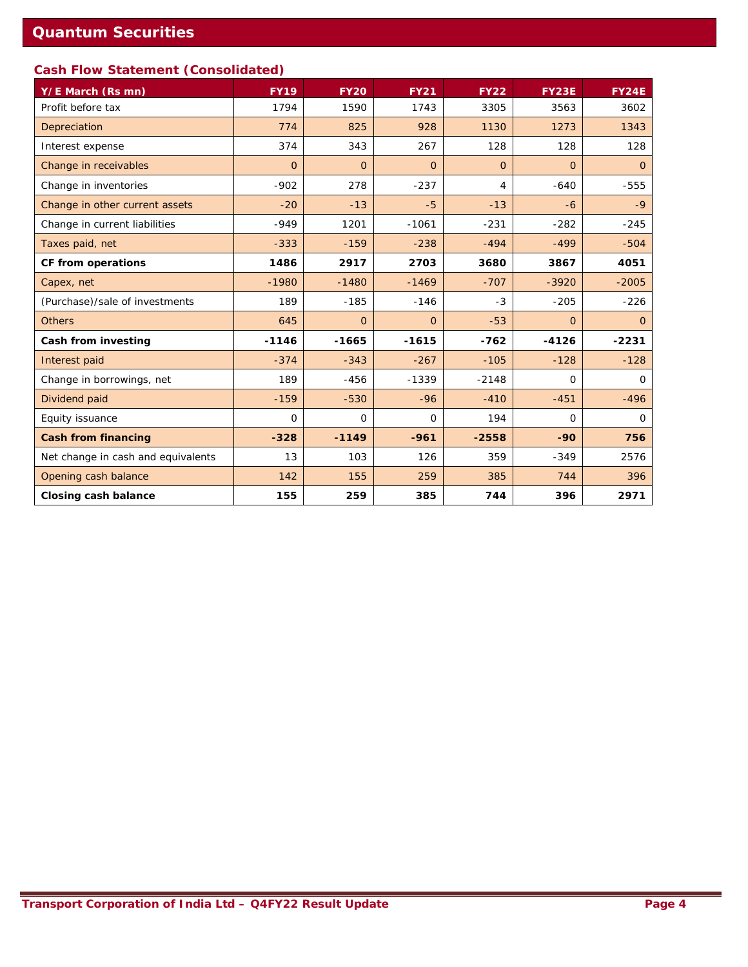# **Cash Flow Statement (Consolidated)**

| Y/E March (Rs mn)                  | <b>FY19</b>    | <b>FY20</b> | <b>FY21</b>    | <b>FY22</b> | <b>FY23E</b>   | <b>FY24E</b>   |
|------------------------------------|----------------|-------------|----------------|-------------|----------------|----------------|
| Profit before tax                  | 1794           | 1590        | 1743           | 3305        | 3563           | 3602           |
| Depreciation                       | 774            | 825         | 928            | 1130        | 1273           | 1343           |
| Interest expense                   | 374            | 343         | 267            | 128         | 128            | 128            |
| Change in receivables              | $\overline{O}$ | $\Omega$    | $\Omega$       | $\Omega$    | $\Omega$       | $\Omega$       |
| Change in inventories              | $-902$         | 278         | $-237$         | 4           | $-640$         | $-555$         |
| Change in other current assets     | $-20$          | $-13$       | $-5$           | $-13$       | $-6$           | $-9$           |
| Change in current liabilities      | $-949$         | 1201        | $-1061$        | $-231$      | $-282$         | $-245$         |
| Taxes paid, net                    | $-333$         | $-159$      | $-238$         | $-494$      | $-499$         | $-504$         |
| CF from operations                 | 1486           | 2917        | 2703           | 3680        | 3867           | 4051           |
| Capex, net                         | $-1980$        | $-1480$     | $-1469$        | $-707$      | $-3920$        | $-2005$        |
| (Purchase)/sale of investments     | 189            | $-185$      | $-146$         | $-3$        | $-205$         | $-226$         |
| <b>Others</b>                      | 645            | $\Omega$    | $\overline{O}$ | $-53$       | $\overline{O}$ | $\overline{0}$ |
| Cash from investing                | $-1146$        | $-1665$     | $-1615$        | $-762$      | $-4126$        | $-2231$        |
| Interest paid                      | $-374$         | $-343$      | $-267$         | $-105$      | $-128$         | $-128$         |
| Change in borrowings, net          | 189            | $-456$      | $-1339$        | $-2148$     | $\Omega$       | $\Omega$       |
| Dividend paid                      | $-159$         | $-530$      | $-96$          | $-410$      | $-451$         | $-496$         |
| Equity issuance                    | $\mathbf 0$    | $\Omega$    | 0              | 194         | $\Omega$       | 0              |
| <b>Cash from financing</b>         | $-328$         | $-1149$     | $-961$         | $-2558$     | $-90$          | 756            |
| Net change in cash and equivalents | 13             | 103         | 126            | 359         | $-349$         | 2576           |
| Opening cash balance               | 142            | 155         | 259            | 385         | 744            | 396            |
| <b>Closing cash balance</b>        | 155            | 259         | 385            | 744         | 396            | 2971           |